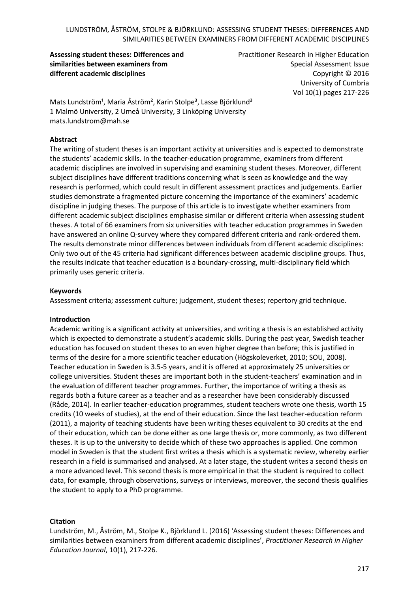**Assessing student theses: Differences and similarities between examiners from different academic disciplines**

Practitioner Research in Higher Education Special Assessment Issue Copyright © 2016 University of Cumbria Vol 10(1) pages 217-226

Mats Lundström<sup>1</sup>, Maria Åström<sup>2</sup>, Karin Stolpe<sup>3</sup>, Lasse Björklund<sup>3</sup> 1 Malmö University, 2 Umeå University, 3 Linköping University mats.lundstrom@mah.se

### **Abstract**

The writing of student theses is an important activity at universities and is expected to demonstrate the students' academic skills. In the teacher-education programme, examiners from different academic disciplines are involved in supervising and examining student theses. Moreover, different subject disciplines have different traditions concerning what is seen as knowledge and the way research is performed, which could result in different assessment practices and judgements. Earlier studies demonstrate a fragmented picture concerning the importance of the examiners' academic discipline in judging theses. The purpose of this article is to investigate whether examiners from different academic subject disciplines emphasise similar or different criteria when assessing student theses. A total of 66 examiners from six universities with teacher education programmes in Sweden have answered an online Q-survey where they compared different criteria and rank-ordered them. The results demonstrate minor differences between individuals from different academic disciplines: Only two out of the 45 criteria had significant differences between academic discipline groups. Thus, the results indicate that teacher education is a boundary-crossing, multi-disciplinary field which primarily uses generic criteria.

#### **Keywords**

Assessment criteria; assessment culture; judgement, student theses; repertory grid technique.

#### **Introduction**

Academic writing is a significant activity at universities, and writing a thesis is an established activity which is expected to demonstrate a student's academic skills. During the past year, Swedish teacher education has focused on student theses to an even higher degree than before; this is justified in terms of the desire for a more scientific teacher education (Högskoleverket, 2010; SOU, 2008). Teacher education in Sweden is 3.5-5 years, and it is offered at approximately 25 universities or college universities. Student theses are important both in the student-teachers' examination and in the evaluation of different teacher programmes. Further, the importance of writing a thesis as regards both a future career as a teacher and as a researcher have been considerably discussed (Råde, 2014). In earlier teacher-education programmes, student teachers wrote one thesis, worth 15 credits (10 weeks of studies), at the end of their education. Since the last teacher-education reform (2011), a majority of teaching students have been writing theses equivalent to 30 credits at the end of their education, which can be done either as one large thesis or, more commonly, as two different theses. It is up to the university to decide which of these two approaches is applied. One common model in Sweden is that the student first writes a thesis which is a systematic review, whereby earlier research in a field is summarised and analysed. At a later stage, the student writes a second thesis on a more advanced level. This second thesis is more empirical in that the student is required to collect data, for example, through observations, surveys or interviews, moreover, the second thesis qualifies the student to apply to a PhD programme.

#### **Citation**

Lundström, M., Åström, M., Stolpe K., Björklund L. (2016) 'Assessing student theses: Differences and similarities between examiners from different academic disciplines', *Practitioner Research in Higher Education Journal*, 10(1), 217-226.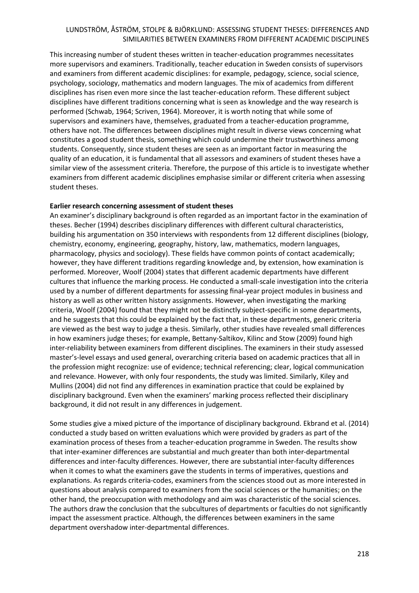This increasing number of student theses written in teacher-education programmes necessitates more supervisors and examiners. Traditionally, teacher education in Sweden consists of supervisors and examiners from different academic disciplines: for example, pedagogy, science, social science, psychology, sociology, mathematics and modern languages. The mix of academics from different disciplines has risen even more since the last teacher-education reform. These different subject disciplines have different traditions concerning what is seen as knowledge and the way research is performed (Schwab, 1964; Scriven, 1964). Moreover, it is worth noting that while some of supervisors and examiners have, themselves, graduated from a teacher-education programme, others have not. The differences between disciplines might result in diverse views concerning what constitutes a good student thesis, something which could undermine their trustworthiness among students. Consequently, since student theses are seen as an important factor in measuring the quality of an education, it is fundamental that all assessors and examiners of student theses have a similar view of the assessment criteria. Therefore, the purpose of this article is to investigate whether examiners from different academic disciplines emphasise similar or different criteria when assessing student theses.

#### **Earlier research concerning assessment of student theses**

An examiner's disciplinary background is often regarded as an important factor in the examination of theses. Becher (1994) describes disciplinary differences with different cultural characteristics, building his argumentation on 350 interviews with respondents from 12 different disciplines (biology, chemistry, economy, engineering, geography, history, law, mathematics, modern languages, pharmacology, physics and sociology). These fields have common points of contact academically; however, they have different traditions regarding knowledge and, by extension, how examination is performed. Moreover, Woolf (2004) states that different academic departments have different cultures that influence the marking process. He conducted a small-scale investigation into the criteria used by a number of different departments for assessing final-year project modules in business and history as well as other written history assignments. However, when investigating the marking criteria, Woolf (2004) found that they might not be distinctly subject-specific in some departments, and he suggests that this could be explained by the fact that, in these departments, generic criteria are viewed as the best way to judge a thesis. Similarly, other studies have revealed small differences in how examiners judge theses; for example, Bettany-Saltikov, Kilinc and Stow (2009) found high inter-reliability between examiners from different disciplines. The examiners in their study assessed master's-level essays and used general, overarching criteria based on academic practices that all in the profession might recognize: use of evidence; technical referencing; clear, logical communication and relevance. However, with only four respondents, the study was limited. Similarly, Kiley and Mullins (2004) did not find any differences in examination practice that could be explained by disciplinary background. Even when the examiners' marking process reflected their disciplinary background, it did not result in any differences in judgement.

Some studies give a mixed picture of the importance of disciplinary background. Ekbrand et al. (2014) conducted a study based on written evaluations which were provided by graders as part of the examination process of theses from a teacher-education programme in Sweden. The results show that inter-examiner differences are substantial and much greater than both inter-departmental differences and inter-faculty differences. However, there are substantial inter-faculty differences when it comes to what the examiners gave the students in terms of imperatives, questions and explanations. As regards criteria-codes, examiners from the sciences stood out as more interested in questions about analysis compared to examiners from the social sciences or the humanities; on the other hand, the preoccupation with methodology and aim was characteristic of the social sciences. The authors draw the conclusion that the subcultures of departments or faculties do not significantly impact the assessment practice. Although, the differences between examiners in the same department overshadow inter-departmental differences.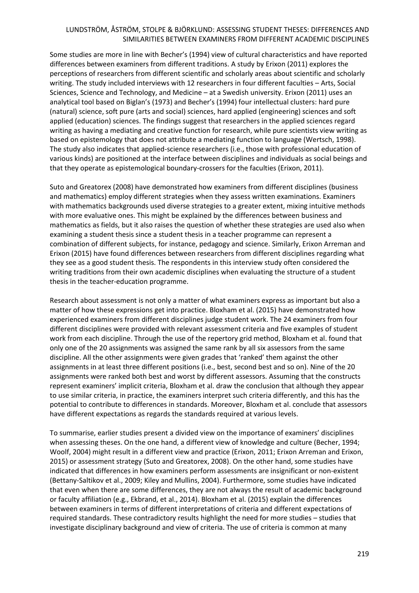Some studies are more in line with Becher's (1994) view of cultural characteristics and have reported differences between examiners from different traditions. A study by Erixon (2011) explores the perceptions of researchers from different scientific and scholarly areas about scientific and scholarly writing. The study included interviews with 12 researchers in four different faculties – Arts, Social Sciences, Science and Technology, and Medicine – at a Swedish university. Erixon (2011) uses an analytical tool based on Biglan's (1973) and Becher's (1994) four intellectual clusters: hard pure (natural) science, soft pure (arts and social) sciences, hard applied (engineering) sciences and soft applied (education) sciences. The findings suggest that researchers in the applied sciences regard writing as having a mediating and creative function for research, while pure scientists view writing as based on epistemology that does not attribute a mediating function to language (Wertsch, 1998). The study also indicates that applied-science researchers (i.e., those with professional education of various kinds) are positioned at the interface between disciplines and individuals as social beings and that they operate as epistemological boundary-crossers for the faculties (Erixon, 2011).

Suto and Greatorex (2008) have demonstrated how examiners from different disciplines (business and mathematics) employ different strategies when they assess written examinations. Examiners with mathematics backgrounds used diverse strategies to a greater extent, mixing intuitive methods with more evaluative ones. This might be explained by the differences between business and mathematics as fields, but it also raises the question of whether these strategies are used also when examining a student thesis since a student thesis in a teacher programme can represent a combination of different subjects, for instance, pedagogy and science. Similarly, Erixon Arreman and Erixon (2015) have found differences between researchers from different disciplines regarding what they see as a good student thesis. The respondents in this interview study often considered the writing traditions from their own academic disciplines when evaluating the structure of a student thesis in the teacher-education programme.

Research about assessment is not only a matter of what examiners express as important but also a matter of how these expressions get into practice. Bloxham et al. (2015) have demonstrated how experienced examiners from different disciplines judge student work. The 24 examiners from four different disciplines were provided with relevant assessment criteria and five examples of student work from each discipline. Through the use of the repertory grid method, Bloxham et al. found that only one of the 20 assignments was assigned the same rank by all six assessors from the same discipline. All the other assignments were given grades that 'ranked' them against the other assignments in at least three different positions (i.e., best, second best and so on). Nine of the 20 assignments were ranked both best and worst by different assessors. Assuming that the constructs represent examiners' implicit criteria, Bloxham et al. draw the conclusion that although they appear to use similar criteria, in practice, the examiners interpret such criteria differently, and this has the potential to contribute to differences in standards. Moreover, Bloxham et al. conclude that assessors have different expectations as regards the standards required at various levels.

To summarise, earlier studies present a divided view on the importance of examiners' disciplines when assessing theses. On the one hand, a different view of knowledge and culture (Becher, 1994; Woolf, 2004) might result in a different view and practice (Erixon, 2011; Erixon Arreman and Erixon, 2015) or assessment strategy (Suto and Greatorex, 2008). On the other hand, some studies have indicated that differences in how examiners perform assessments are insignificant or non-existent (Bettany-Saltikov et al., 2009; Kiley and Mullins, 2004). Furthermore, some studies have indicated that even when there are some differences, they are not always the result of academic background or faculty affiliation (e.g., Ekbrand, et al., 2014). Bloxham et al. (2015) explain the differences between examiners in terms of different interpretations of criteria and different expectations of required standards. These contradictory results highlight the need for more studies – studies that investigate disciplinary background and view of criteria. The use of criteria is common at many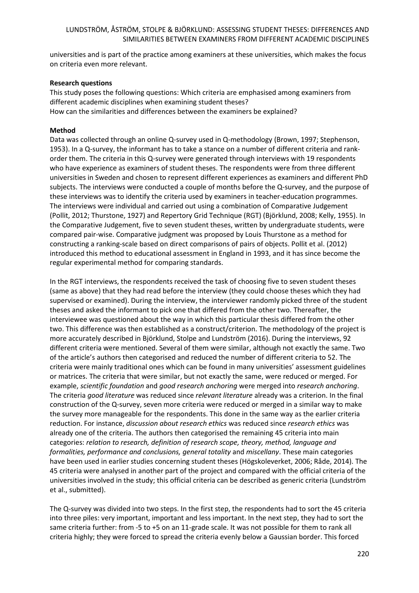universities and is part of the practice among examiners at these universities, which makes the focus on criteria even more relevant.

#### **Research questions**

This study poses the following questions: Which criteria are emphasised among examiners from different academic disciplines when examining student theses? How can the similarities and differences between the examiners be explained?

#### **Method**

Data was collected through an online Q-survey used in Q-methodology (Brown, 1997; Stephenson, 1953). In a Q-survey, the informant has to take a stance on a number of different criteria and rankorder them. The criteria in this Q-survey were generated through interviews with 19 respondents who have experience as examiners of student theses. The respondents were from three different universities in Sweden and chosen to represent different experiences as examiners and different PhD subjects. The interviews were conducted a couple of months before the Q-survey, and the purpose of these interviews was to identify the criteria used by examiners in teacher-education programmes. The interviews were individual and carried out using a combination of Comparative Judgement (Pollit, 2012; Thurstone, 1927) and Repertory Grid Technique (RGT) (Björklund, 2008; Kelly, 1955). In the Comparative Judgement, five to seven student theses, written by undergraduate students, were compared pair-wise. Comparative judgment was proposed by Louis Thurstone as a method for constructing a ranking-scale based on direct comparisons of pairs of objects. Pollit et al. (2012) introduced this method to educational assessment in England in 1993, and it has since become the regular experimental method for comparing standards.

In the RGT interviews, the respondents received the task of choosing five to seven student theses (same as above) that they had read before the interview (they could choose theses which they had supervised or examined). During the interview, the interviewer randomly picked three of the student theses and asked the informant to pick one that differed from the other two. Thereafter, the interviewee was questioned about the way in which this particular thesis differed from the other two. This difference was then established as a construct/criterion. The methodology of the project is more accurately described in Björklund, Stolpe and Lundström (2016). During the interviews, 92 different criteria were mentioned. Several of them were similar, although not exactly the same. Two of the article's authors then categorised and reduced the number of different criteria to 52. The criteria were mainly traditional ones which can be found in many universities' assessment guidelines or matrices. The criteria that were similar, but not exactly the same, were reduced or merged. For example, *scientific foundation* and *good research anchoring* were merged into *research anchoring*. The criteria *good literature* was reduced since *relevant literature* already was a criterion. In the final construction of the Q-survey, seven more criteria were reduced or merged in a similar way to make the survey more manageable for the respondents. This done in the same way as the earlier criteria reduction. For instance, *discussion about research ethics* was reduced since *research ethics* was already one of the criteria. The authors then categorised the remaining 45 criteria into main categories: *relation to research, definition of research scope, theory, method, language and formalities, performance and conclusions, general totality* and *miscellany*. These main categories have been used in earlier studies concerning student theses (Högskoleverket, 2006; Råde, 2014). The 45 criteria were analysed in another part of the project and compared with the official criteria of the universities involved in the study; this official criteria can be described as generic criteria (Lundström et al., submitted).

The Q-survey was divided into two steps. In the first step, the respondents had to sort the 45 criteria into three piles: very important, important and less important. In the next step, they had to sort the same criteria further: from -5 to +5 on an 11-grade scale. It was not possible for them to rank all criteria highly; they were forced to spread the criteria evenly below a Gaussian border. This forced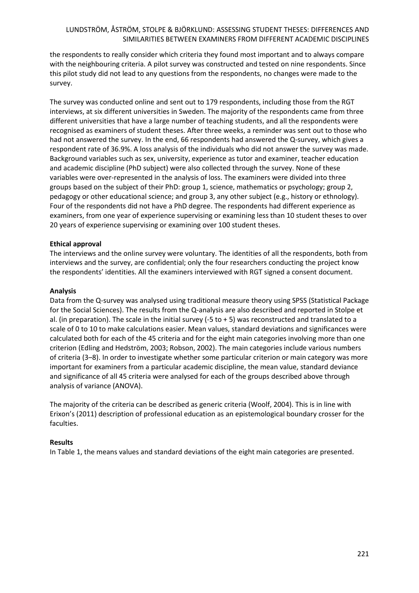the respondents to really consider which criteria they found most important and to always compare with the neighbouring criteria. A pilot survey was constructed and tested on nine respondents. Since this pilot study did not lead to any questions from the respondents, no changes were made to the survey.

The survey was conducted online and sent out to 179 respondents, including those from the RGT interviews, at six different universities in Sweden. The majority of the respondents came from three different universities that have a large number of teaching students, and all the respondents were recognised as examiners of student theses. After three weeks, a reminder was sent out to those who had not answered the survey. In the end, 66 respondents had answered the Q-survey, which gives a respondent rate of 36.9%. A loss analysis of the individuals who did not answer the survey was made. Background variables such as sex, university, experience as tutor and examiner, teacher education and academic discipline (PhD subject) were also collected through the survey. None of these variables were over-represented in the analysis of loss. The examiners were divided into three groups based on the subject of their PhD: group 1, science, mathematics or psychology; group 2, pedagogy or other educational science; and group 3, any other subject (e.g., history or ethnology). Four of the respondents did not have a PhD degree. The respondents had different experience as examiners, from one year of experience supervising or examining less than 10 student theses to over 20 years of experience supervising or examining over 100 student theses.

#### **Ethical approval**

The interviews and the online survey were voluntary. The identities of all the respondents, both from interviews and the survey, are confidential; only the four researchers conducting the project know the respondents' identities. All the examiners interviewed with RGT signed a consent document.

#### **Analysis**

Data from the Q-survey was analysed using traditional measure theory using SPSS (Statistical Package for the Social Sciences). The results from the Q-analysis are also described and reported in Stolpe et al. (in preparation). The scale in the initial survey  $(-5 \text{ to } + 5)$  was reconstructed and translated to a scale of 0 to 10 to make calculations easier. Mean values, standard deviations and significances were calculated both for each of the 45 criteria and for the eight main categories involving more than one criterion (Edling and Hedström, 2003; Robson, 2002). The main categories include various numbers of criteria (3–8). In order to investigate whether some particular criterion or main category was more important for examiners from a particular academic discipline, the mean value, standard deviance and significance of all 45 criteria were analysed for each of the groups described above through analysis of variance (ANOVA).

The majority of the criteria can be described as generic criteria (Woolf, 2004). This is in line with Erixon's (2011) description of professional education as an epistemological boundary crosser for the faculties.

#### **Results**

In Table 1, the means values and standard deviations of the eight main categories are presented.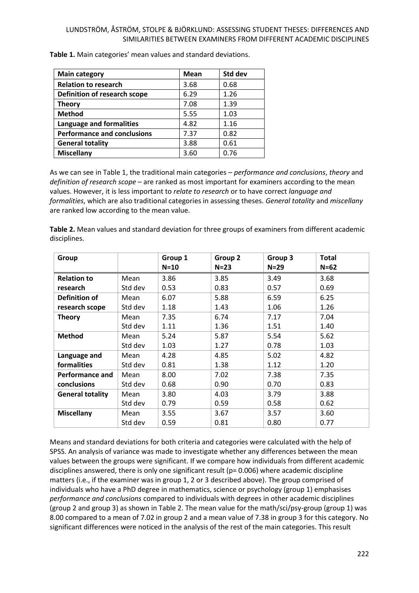| <b>Main category</b>               | <b>Mean</b> | Std dev |
|------------------------------------|-------------|---------|
| <b>Relation to research</b>        | 3.68        | 0.68    |
| Definition of research scope       | 6.29        | 1.26    |
| <b>Theory</b>                      | 7.08        | 1.39    |
| <b>Method</b>                      | 5.55        | 1.03    |
| Language and formalities           | 4.82        | 1.16    |
| <b>Performance and conclusions</b> | 7.37        | 0.82    |
| <b>General totality</b>            | 3.88        | 0.61    |
| <b>Miscellany</b>                  | 3.60        | 0.76    |

**Table 1.** Main categories' mean values and standard deviations.

As we can see in Table 1, the traditional main categories – *performance and conclusions*, *theory* and *definition of research scope* – are ranked as most important for examiners according to the mean values. However, it is less important to *relate to research* or to have correct *language and formalities*, which are also traditional categories in assessing theses. *General totality* and *miscellany* are ranked low according to the mean value.

**Table 2.** Mean values and standard deviation for three groups of examiners from different academic disciplines.

| Group                   |         | Group 1 | Group 2 | Group 3 | Total    |
|-------------------------|---------|---------|---------|---------|----------|
|                         |         | $N=10$  | $N=23$  | $N=29$  | $N = 62$ |
| <b>Relation to</b>      | Mean    | 3.86    | 3.85    | 3.49    | 3.68     |
| research                | Std dev | 0.53    | 0.83    | 0.57    | 0.69     |
| <b>Definition of</b>    | Mean    | 6.07    | 5.88    | 6.59    | 6.25     |
| research scope          | Std dev | 1.18    | 1.43    | 1.06    | 1.26     |
| <b>Theory</b>           | Mean    | 7.35    | 6.74    | 7.17    | 7.04     |
|                         | Std dev | 1.11    | 1.36    | 1.51    | 1.40     |
| <b>Method</b>           | Mean    | 5.24    | 5.87    | 5.54    | 5.62     |
|                         | Std dev | 1.03    | 1.27    | 0.78    | 1.03     |
| Language and            | Mean    | 4.28    | 4.85    | 5.02    | 4.82     |
| formalities             | Std dev | 0.81    | 1.38    | 1.12    | 1.20     |
| Performance and         | Mean    | 8.00    | 7.02    | 7.38    | 7.35     |
| conclusions             | Std dev | 0.68    | 0.90    | 0.70    | 0.83     |
| <b>General totality</b> | Mean    | 3.80    | 4.03    | 3.79    | 3.88     |
|                         | Std dev | 0.79    | 0.59    | 0.58    | 0.62     |
| <b>Miscellany</b>       | Mean    | 3.55    | 3.67    | 3.57    | 3.60     |
|                         | Std dev | 0.59    | 0.81    | 0.80    | 0.77     |

Means and standard deviations for both criteria and categories were calculated with the help of SPSS. An analysis of variance was made to investigate whether any differences between the mean values between the groups were significant. If we compare how individuals from different academic disciplines answered, there is only one significant result ( $p= 0.006$ ) where academic discipline matters (i.e., if the examiner was in group 1, 2 or 3 described above). The group comprised of individuals who have a PhD degree in mathematics, science or psychology (group 1) emphasises *performance and conclusions* compared to individuals with degrees in other academic disciplines (group 2 and group 3) as shown in Table 2. The mean value for the math/sci/psy-group (group 1) was 8.00 compared to a mean of 7.02 in group 2 and a mean value of 7.38 in group 3 for this category. No significant differences were noticed in the analysis of the rest of the main categories. This result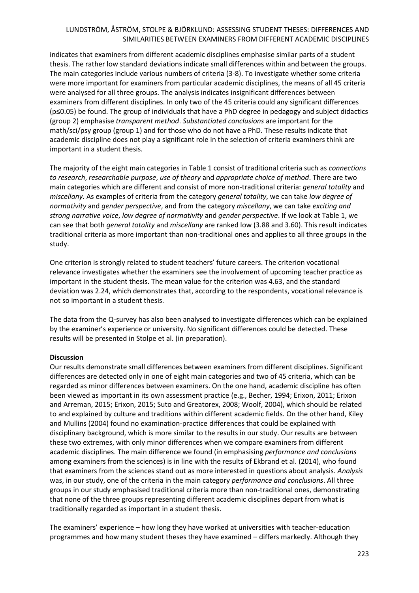indicates that examiners from different academic disciplines emphasise similar parts of a student thesis. The rather low standard deviations indicate small differences within and between the groups. The main categories include various numbers of criteria (3-8). To investigate whether some criteria were more important for examiners from particular academic disciplines, the means of all 45 criteria were analysed for all three groups. The analysis indicates insignificant differences between examiners from different disciplines. In only two of the 45 criteria could any significant differences (p≤0.05) be found. The group of individuals that have a PhD degree in pedagogy and subject didactics (group 2) emphasise *transparent method*. *Substantiated conclusions* are important for the math/sci/psy group (group 1) and for those who do not have a PhD. These results indicate that academic discipline does not play a significant role in the selection of criteria examiners think are important in a student thesis.

The majority of the eight main categories in Table 1 consist of traditional criteria such as *connections to research*, *researchable purpose*, *use of theory* and *appropriate choice of method*. There are two main categories which are different and consist of more non-traditional criteria: *general totality* and *miscellany*. As examples of criteria from the category *general totality*, we can take *low degree of normativity* and *gender perspective*, and from the category *miscellany*, we can take *exciting and strong narrative voice*, *low degree of normativity* and *gender perspective*. If we look at Table 1, we can see that both *general totality* and *miscellany* are ranked low (3.88 and 3.60). This result indicates traditional criteria as more important than non-traditional ones and applies to all three groups in the study.

One criterion is strongly related to student teachers' future careers. The criterion vocational relevance investigates whether the examiners see the involvement of upcoming teacher practice as important in the student thesis. The mean value for the criterion was 4.63, and the standard deviation was 2.24, which demonstrates that, according to the respondents, vocational relevance is not so important in a student thesis.

The data from the Q-survey has also been analysed to investigate differences which can be explained by the examiner's experience or university. No significant differences could be detected. These results will be presented in Stolpe et al. (in preparation).

#### **Discussion**

Our results demonstrate small differences between examiners from different disciplines. Significant differences are detected only in one of eight main categories and two of 45 criteria, which can be regarded as minor differences between examiners. On the one hand, academic discipline has often been viewed as important in its own assessment practice (e.g., Becher, 1994; Erixon, 2011; Erixon and Arreman, 2015; Erixon, 2015; Suto and Greatorex, 2008; Woolf, 2004), which should be related to and explained by culture and traditions within different academic fields. On the other hand, Kiley and Mullins (2004) found no examination-practice differences that could be explained with disciplinary background, which is more similar to the results in our study. Our results are between these two extremes, with only minor differences when we compare examiners from different academic disciplines. The main difference we found (in emphasising *performance and conclusions* among examiners from the sciences) is in line with the results of Ekbrand et al. (2014), who found that examiners from the sciences stand out as more interested in questions about analysis. *Analysis* was, in our study, one of the criteria in the main category *performance and conclusions*. All three groups in our study emphasised traditional criteria more than non-traditional ones, demonstrating that none of the three groups representing different academic disciplines depart from what is traditionally regarded as important in a student thesis.

The examiners' experience – how long they have worked at universities with teacher-education programmes and how many student theses they have examined – differs markedly. Although they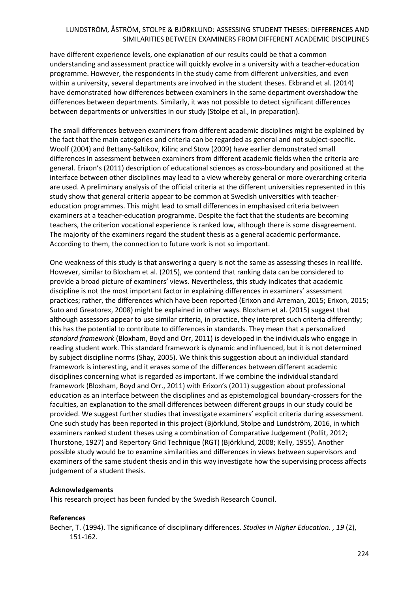have different experience levels, one explanation of our results could be that a common understanding and assessment practice will quickly evolve in a university with a teacher-education programme. However, the respondents in the study came from different universities, and even within a university, several departments are involved in the student theses. Ekbrand et al. (2014) have demonstrated how differences between examiners in the same department overshadow the differences between departments. Similarly, it was not possible to detect significant differences between departments or universities in our study (Stolpe et al., in preparation).

The small differences between examiners from different academic disciplines might be explained by the fact that the main categories and criteria can be regarded as general and not subject-specific. Woolf (2004) and Bettany-Saltikov, Kilinc and Stow (2009) have earlier demonstrated small differences in assessment between examiners from different academic fields when the criteria are general. Erixon's (2011) description of educational sciences as cross-boundary and positioned at the interface between other disciplines may lead to a view whereby general or more overarching criteria are used. A preliminary analysis of the official criteria at the different universities represented in this study show that general criteria appear to be common at Swedish universities with teachereducation programmes. This might lead to small differences in emphasised criteria between examiners at a teacher-education programme. Despite the fact that the students are becoming teachers, the criterion vocational experience is ranked low, although there is some disagreement. The majority of the examiners regard the student thesis as a general academic performance. According to them, the connection to future work is not so important.

One weakness of this study is that answering a query is not the same as assessing theses in real life. However, similar to Bloxham et al. (2015), we contend that ranking data can be considered to provide a broad picture of examiners' views. Nevertheless, this study indicates that academic discipline is not the most important factor in explaining differences in examiners' assessment practices; rather, the differences which have been reported (Erixon and Arreman, 2015; Erixon, 2015; Suto and Greatorex, 2008) might be explained in other ways. Bloxham et al. (2015) suggest that although assessors appear to use similar criteria, in practice, they interpret such criteria differently; this has the potential to contribute to differences in standards. They mean that a personalized *standard framework* (Bloxham, Boyd and Orr, 2011) is developed in the individuals who engage in reading student work. This standard framework is dynamic and influenced, but it is not determined by subject discipline norms (Shay, 2005). We think this suggestion about an individual standard framework is interesting, and it erases some of the differences between different academic disciplines concerning what is regarded as important. If we combine the individual standard framework (Bloxham, Boyd and Orr., 2011) with Erixon's (2011) suggestion about professional education as an interface between the disciplines and as epistemological boundary-crossers for the faculties, an explanation to the small differences between different groups in our study could be provided. We suggest further studies that investigate examiners' explicit criteria during assessment. One such study has been reported in this project (Björklund, Stolpe and Lundström, 2016, in which examiners ranked student theses using a combination of Comparative Judgement (Pollit, 2012; Thurstone, 1927) and Repertory Grid Technique (RGT) (Björklund, 2008; Kelly, 1955). Another possible study would be to examine similarities and differences in views between supervisors and examiners of the same student thesis and in this way investigate how the supervising process affects judgement of a student thesis.

#### **Acknowledgements**

This research project has been funded by the Swedish Research Council.

#### **References**

Becher, T. (1994). The significance of disciplinary differences. *Studies in Higher Education. , 19* (2), 151-162.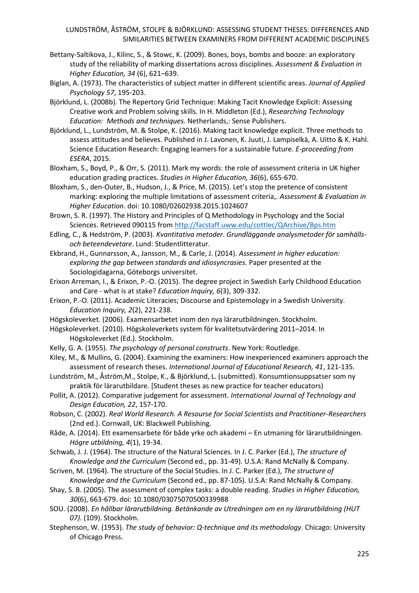- Bettany-Saltikova, J., Kilinc, S., & Stowc, K. (2009). Bones, boys, bombs and booze: an exploratory study of the reliability of marking dissertations across disciplines. *Assessment & Evaluation in Higher Education, 34* (6), 621–639.
- Biglan, A. (1973). The characteristics of subject matter in different scientific areas. *Journal of Applied Psychology 57*, 195-203.
- Björklund, L. (2008b). The Repertory Grid Technique: Making Tacit Knowledge Explicit: Assessing Creative work and Problem solving skills. In H. Middleton (Ed.), *Researching Technology Education: Methods and techniques.* Netherlands,: Sense Publishers.
- Björklund, L., Lundström, M. & Stolpe, K. (2016). Making tacit knowledge explicit. Three methods to assess attitudes and believes. Published in J. Lavonen, K. Juuti, J. Lampiselkä, A. Uitto & K. Hahl. Science Education Research: Engaging learners for a sustainable future. *E-proceeding from ESERA*, 2015.
- Bloxham, S., Boyd, P., & Orr, S. (2011). Mark my words: the role of assessment criteria in UK higher education grading practices. *Studies in Higher Education, 36*(6), 655-670.
- Bloxham, S., den-Outer, B., Hudson, J., & Price, M. (2015). Let's stop the pretence of consistent marking: exploring the multiple limitations of assessment criteria,. *Assessment & Evaluation in Higher Education*. doi: 10.1080/02602938.2015.1024607
- Brown, S. R. (1997). The History and Principles of Q Methodology in Psychology and the Social Sciences. Retrieved 090115 from<http://facstaff.uww.edu/cottlec/QArchive/Bps.htm>
- Edling, C., & Hedström, P. (2003). *Kvantitativa metoder. Grundläggande analysmetoder för samhällsoch beteendevetare*. Lund: Studentlitteratur.
- Ekbrand, H., Gunnarsson, A., Jansson, M., & Carle, J. (2014). *Assessment in higher education: exploring the gap between standards and idiosyncrasies.* Paper presented at the Sociologidagarna, Göteborgs universitet.
- Erixon Arreman, I., & Erixon, P.-O. (2015). The degree project in Swedish Early Childhood Education and Care - what is at stake? *Education Inquiry, 6*(3), 309-332.
- Erixon, P.-O. (2011). Academic Literacies; Discourse and Epistemology in a Swedish University. *Education Inquiry, 2*(2), 221-238.
- Högskoleverket. (2006). Examensarbetet inom den nya lärarutbildningen. Stockholm.
- Högskoleverket. (2010). Högskoleverkets system för kvalitetsutvärdering 2011–2014. In Högskoleverket (Ed.). Stockholm.
- Kelly, G. A. (1955). *The psychology of personal constructs*. New York: Routledge.
- Kiley, M., & Mullins, G. (2004). Examining the examiners: How inexperienced examiners approach the assessment of research theses. *International Journal of Educational Research, 41*, 121-135.
- Lundström, M., Åström,M., Stolpe, K., & Björklund, L. (submitted). Konsumtionsuppsatser som ny praktik för lärarutbildare. [Student theses as new practice for teacher educators)
- Pollit, A. (2012). Comparative judgement for assessment. *International Journal of Technology and Design Education, 22*, 157-170.
- Robson, C. (2002). *Real World Research. A Resourse for Social Scientists and Practitioner-Researchers* (2nd ed.). Cornwall, UK: Blackwell Publishing.
- Råde, A. (2014). Ett examensarbete för både yrke och akademi En utmaning för lärarutbildningen. *Högre utbildning, 4*(1), 19-34.
- Schwab, J. J. (1964). The structure of the Natural Sciences. In J. C. Parker (Ed.), *The structure of Knowledge and the Curriculum* (Second ed., pp. 31-49). U.S.A: Rand McNally & Company.
- Scriven, M. (1964). The structure of the Social Studies. In J. C. Parker (Ed.), *The structure of Knowledge and the Curriculum* (Second ed., pp. 87-105). U.S.A: Rand McNally & Company.
- Shay, S. B. (2005). The assessment of complex tasks: a double reading. *Studies in Higher Education, 30*(6), 663-679. doi: 10.1080/03075070500339988
- SOU. (2008). *En hållbar lärarutbildning. Betänkande av Utredningen om en ny lärarutbildning (HUT 07)*. (109). Stockholm.
- Stephenson, W. (1953). *The study of behavior: Q-technique and its methodology*. Chicago: University of Chicago Press.